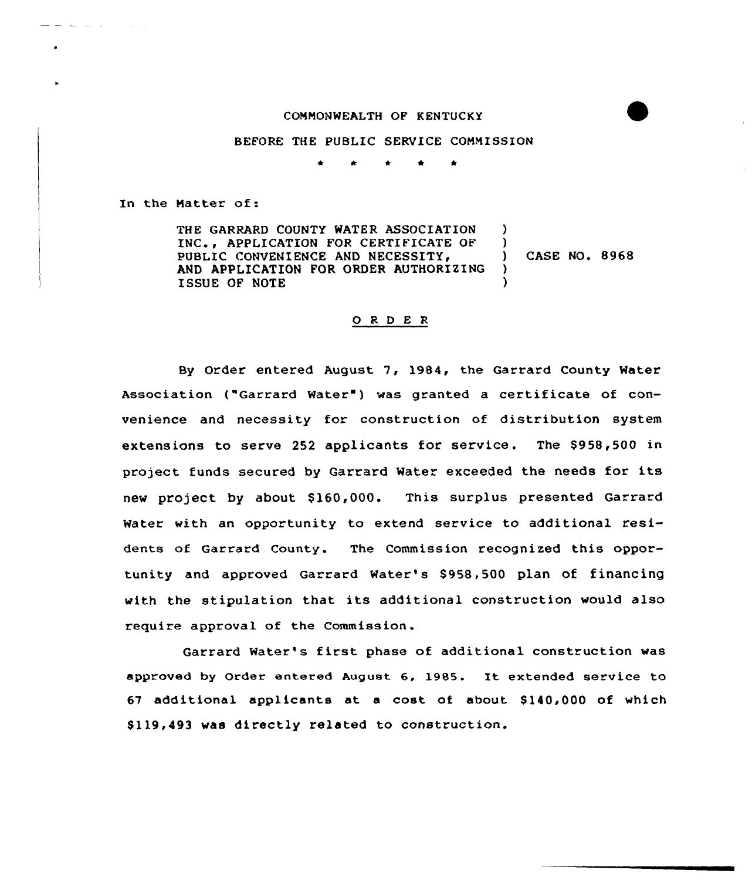## CONNONMEALTH OF KENTUCKY

## BEFORE THE PUBLIC SERVICE CONNISSION

 $\bullet$ 

In the Natter of:

THE GARRARD COUNTY WATER ASSOCIATION INC., APPLICATION FOR CERTIFICATE OF PUBLIC CONVENIENCE AND NECESSITY, AND APPLICATION FOR ORDER AUTHORIZING ISSUE OF NOTE )  $)$ ) CASE NO. 8968 ) )

## 0 <sup>R</sup> <sup>D</sup> E <sup>R</sup>

By Order entered August 7, l984, the Garrard County Water Association ("Garrard Water") was granted a certificate of convenience and necessity for construction of distribution system extensions to serve 252 applicants for service. The \$958,500 in project funds secured by Garrard Water exceeded the needs for its new project by about \$160,000. This surplus presented Garrard Water with an opportunity to extend service to additional residents of Garrard County. The Commission recognized this opportunity and approved Garrard Water's \$958,500 plan of financing with the stipulation that its additional construction would also require approval of the Commission.

Garrard Water's first phase of additional construction was approved by Order entered August 6, 1985. It extended service to 67 additional applicants at a cost of about \$ 140,000 of which \$ 119,493 was directly related to construction.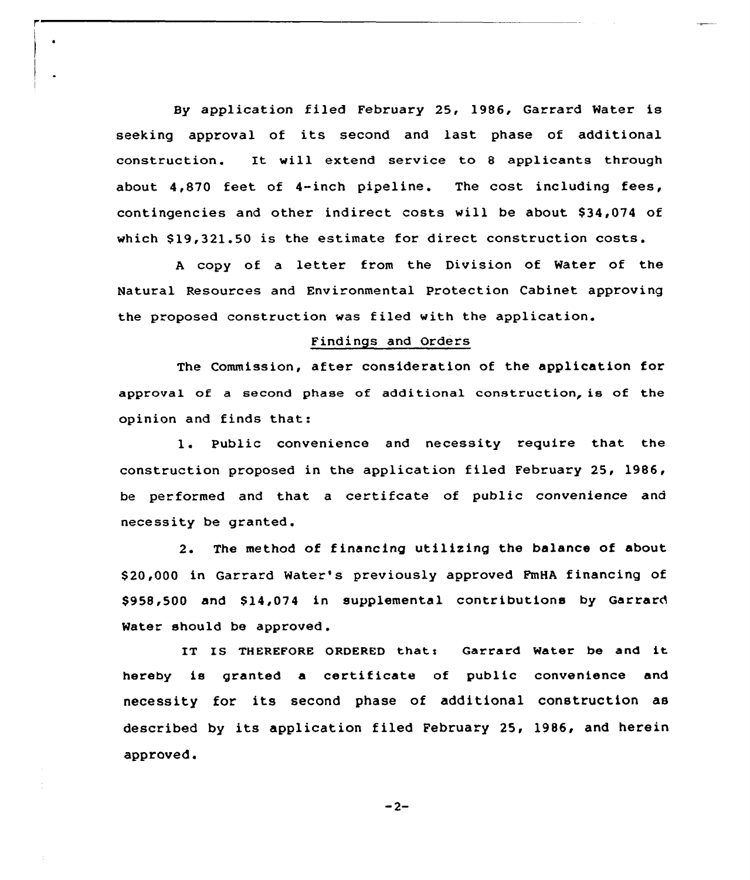By application filed February 25, 1986, Garrard Water is seeking approval of its second and last phase of additional construction. It will extend service to <sup>8</sup> applicants through about 4,870 feet of 4-inch pipeline. The cost including fees, contingencies and other indirect costs will be about \$34,074 of which \$19,321.50 is the estimate for direct construction costs.

<sup>A</sup> copy of <sup>a</sup> letter from the Division of Water of the Natural Resources and Environmental Protection Cabinet approving the proposed construction was filed with the application.

## Findings and Orders

The Commission, after consideration of the application for approval of a second phase of additional construction, is of the opinion and finds that:

1. Public convenience and necessity require that the construction proposed in the application filed February 25, 1986, be performed and that a certifcate of public convenience and necessity be granted.

2. The method of financing utilizing the balance of about \$ 20,000 in Garrard Water's previously approved FmHA financing of \$958,500 and \$14,074 in supplemental contributions by Garrard Water should be approved .

IT IS THEREFORE ORDERED that: Garrard Water be and it hereby is granted a certificate of public convenience and necessity for its second phase of additional construction as described by its application filed February 25, 1986, and herein approved.

 $-2-$